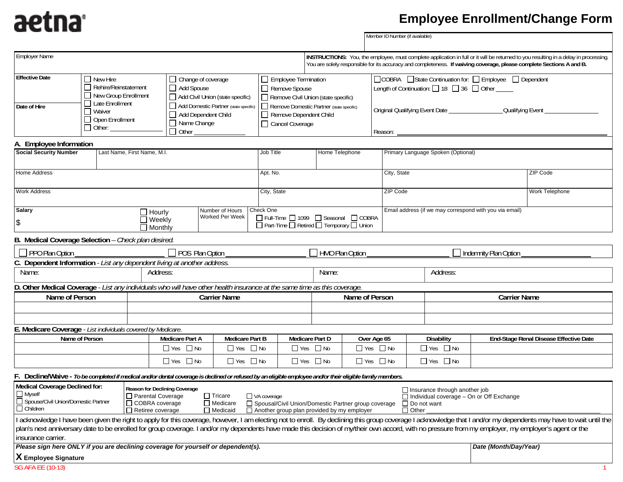## aetna

## **Employee Enrollment/Change Form**

|                                                                                                                                                                                                                                                                                                                                                                                                                                                                                                                                                                                                                                                                                                                                                                                                                                                                                                                                                         |                                                                 |                                                                                                                              |                                                                 |                                                                                                 |                                                      |                |                                                                                   |                       | Member ID Number (if available) |                                                                                                      |          |                                                                                                                                                                                                                                                              |  |  |
|---------------------------------------------------------------------------------------------------------------------------------------------------------------------------------------------------------------------------------------------------------------------------------------------------------------------------------------------------------------------------------------------------------------------------------------------------------------------------------------------------------------------------------------------------------------------------------------------------------------------------------------------------------------------------------------------------------------------------------------------------------------------------------------------------------------------------------------------------------------------------------------------------------------------------------------------------------|-----------------------------------------------------------------|------------------------------------------------------------------------------------------------------------------------------|-----------------------------------------------------------------|-------------------------------------------------------------------------------------------------|------------------------------------------------------|----------------|-----------------------------------------------------------------------------------|-----------------------|---------------------------------|------------------------------------------------------------------------------------------------------|----------|--------------------------------------------------------------------------------------------------------------------------------------------------------------------------------------------------------------------------------------------------------------|--|--|
| <b>Employer Name</b>                                                                                                                                                                                                                                                                                                                                                                                                                                                                                                                                                                                                                                                                                                                                                                                                                                                                                                                                    |                                                                 |                                                                                                                              |                                                                 |                                                                                                 |                                                      |                |                                                                                   |                       |                                 |                                                                                                      |          | INSTRUCTIONS: You, the employee, must complete application in full or it will be returned to you resulting in a delay in processing.<br>You are solely responsible for its accuracy and completeness. If waiving coverage, please complete Sections A and B. |  |  |
| <b>Effective Date</b>                                                                                                                                                                                                                                                                                                                                                                                                                                                                                                                                                                                                                                                                                                                                                                                                                                                                                                                                   | $\Box$ New Hire<br>Rehire/Reinstatement<br>New Group Enrollment |                                                                                                                              |                                                                 | □ Change of coverage<br>Add Spouse<br>Add Civil Union (state specific)                          |                                                      |                | Employee Termination<br>Remove Spouse<br>Remove Civil Union (state specific)      |                       |                                 | □COBRA □State Continuation for: □ Employee □ Dependent<br>Length of Continuation: 18 36 dother _____ |          |                                                                                                                                                                                                                                                              |  |  |
| Late Enrollment<br>Date of Hire<br>$\Box$ Waiver<br>Open Enrollment<br>$\Box$ Other: $\Box$                                                                                                                                                                                                                                                                                                                                                                                                                                                                                                                                                                                                                                                                                                                                                                                                                                                             |                                                                 | Add Domestic Partner (state specific)<br>Add Dependent Child<br>Name Change<br>$\Box$ Other $\_\_\_\_\_\_\_\_\_\_\_\_\_\_\_$ |                                                                 | Remove Domestic Partner (state specific)<br>Remove Dependent Child<br>Cancel Coverage           |                                                      |                | Original Qualifying Event Date _______________________________Qualifying Event __ |                       |                                 |                                                                                                      |          |                                                                                                                                                                                                                                                              |  |  |
| A. Employee Information                                                                                                                                                                                                                                                                                                                                                                                                                                                                                                                                                                                                                                                                                                                                                                                                                                                                                                                                 |                                                                 |                                                                                                                              |                                                                 |                                                                                                 |                                                      |                |                                                                                   |                       |                                 |                                                                                                      |          |                                                                                                                                                                                                                                                              |  |  |
| <b>Social Security Number</b><br>Last Name, First Name, M.I.                                                                                                                                                                                                                                                                                                                                                                                                                                                                                                                                                                                                                                                                                                                                                                                                                                                                                            |                                                                 |                                                                                                                              |                                                                 | Job Title                                                                                       | Home Telephone<br>Primary Language Spoken (Optional) |                |                                                                                   |                       |                                 |                                                                                                      |          |                                                                                                                                                                                                                                                              |  |  |
| Home Address                                                                                                                                                                                                                                                                                                                                                                                                                                                                                                                                                                                                                                                                                                                                                                                                                                                                                                                                            |                                                                 |                                                                                                                              |                                                                 |                                                                                                 | Apt. No.                                             |                |                                                                                   | City, State           |                                 |                                                                                                      | ZIP Code |                                                                                                                                                                                                                                                              |  |  |
| <b>Work Address</b>                                                                                                                                                                                                                                                                                                                                                                                                                                                                                                                                                                                                                                                                                                                                                                                                                                                                                                                                     |                                                                 |                                                                                                                              |                                                                 |                                                                                                 | City, State                                          |                |                                                                                   |                       | ZIP Code                        |                                                                                                      |          | Work Telephone                                                                                                                                                                                                                                               |  |  |
| <b>Salary</b><br>Number of Hours<br>$\Box$ Hourly<br>Worked Per Week<br>$\Box$ Weekly<br>\$<br>$\Box$ Monthly                                                                                                                                                                                                                                                                                                                                                                                                                                                                                                                                                                                                                                                                                                                                                                                                                                           |                                                                 |                                                                                                                              |                                                                 | Check One<br>□ Full-Time □ 1099 □ Seasonal □ COBRA<br>□ Part-Time □ Retired □ Temporary □ Union |                                                      |                | Email address (if we may correspond with you via email)                           |                       |                                 |                                                                                                      |          |                                                                                                                                                                                                                                                              |  |  |
| B. Medical Coverage Selection - Check plan desired.                                                                                                                                                                                                                                                                                                                                                                                                                                                                                                                                                                                                                                                                                                                                                                                                                                                                                                     |                                                                 |                                                                                                                              |                                                                 |                                                                                                 |                                                      |                |                                                                                   |                       |                                 |                                                                                                      |          |                                                                                                                                                                                                                                                              |  |  |
| $\Box$ PPO Plan Option<br>POS Plan Option<br>C. Dependent Information - List any dependent living at another address.                                                                                                                                                                                                                                                                                                                                                                                                                                                                                                                                                                                                                                                                                                                                                                                                                                   |                                                                 |                                                                                                                              |                                                                 |                                                                                                 | HMO Plan Option                                      |                |                                                                                   |                       |                                 | Indemnity Plan Option                                                                                |          |                                                                                                                                                                                                                                                              |  |  |
|                                                                                                                                                                                                                                                                                                                                                                                                                                                                                                                                                                                                                                                                                                                                                                                                                                                                                                                                                         |                                                                 |                                                                                                                              |                                                                 |                                                                                                 |                                                      |                |                                                                                   |                       |                                 |                                                                                                      |          |                                                                                                                                                                                                                                                              |  |  |
| Name:<br>Name:<br>Address:<br>Address:                                                                                                                                                                                                                                                                                                                                                                                                                                                                                                                                                                                                                                                                                                                                                                                                                                                                                                                  |                                                                 |                                                                                                                              |                                                                 |                                                                                                 |                                                      |                |                                                                                   |                       |                                 |                                                                                                      |          |                                                                                                                                                                                                                                                              |  |  |
| D. Other Medical Coverage - List any individuals who will have other health insurance at the same time as this coverage.                                                                                                                                                                                                                                                                                                                                                                                                                                                                                                                                                                                                                                                                                                                                                                                                                                |                                                                 |                                                                                                                              |                                                                 |                                                                                                 |                                                      |                |                                                                                   |                       |                                 |                                                                                                      |          |                                                                                                                                                                                                                                                              |  |  |
| Name of Person                                                                                                                                                                                                                                                                                                                                                                                                                                                                                                                                                                                                                                                                                                                                                                                                                                                                                                                                          |                                                                 |                                                                                                                              | <b>Carrier Name</b>                                             |                                                                                                 |                                                      | Name of Person |                                                                                   |                       |                                 | <b>Carrier Name</b>                                                                                  |          |                                                                                                                                                                                                                                                              |  |  |
|                                                                                                                                                                                                                                                                                                                                                                                                                                                                                                                                                                                                                                                                                                                                                                                                                                                                                                                                                         |                                                                 |                                                                                                                              |                                                                 |                                                                                                 |                                                      |                |                                                                                   |                       |                                 |                                                                                                      |          |                                                                                                                                                                                                                                                              |  |  |
|                                                                                                                                                                                                                                                                                                                                                                                                                                                                                                                                                                                                                                                                                                                                                                                                                                                                                                                                                         |                                                                 |                                                                                                                              |                                                                 |                                                                                                 |                                                      |                |                                                                                   |                       |                                 |                                                                                                      |          |                                                                                                                                                                                                                                                              |  |  |
| E. Medicare Coverage - List individuals covered by Medicare.<br>Name of Person<br><b>Medicare Part A</b>                                                                                                                                                                                                                                                                                                                                                                                                                                                                                                                                                                                                                                                                                                                                                                                                                                                |                                                                 |                                                                                                                              |                                                                 | Medicare Part D                                                                                 |                                                      |                | Over Age 65                                                                       |                       | <b>Disability</b>               | End-Stage Renal Disease Effective Date                                                               |          |                                                                                                                                                                                                                                                              |  |  |
|                                                                                                                                                                                                                                                                                                                                                                                                                                                                                                                                                                                                                                                                                                                                                                                                                                                                                                                                                         |                                                                 |                                                                                                                              | Medicare Part B<br>$\Box$ Yes $\Box$ No<br>$\Box$ Yes $\Box$ No |                                                                                                 | $\Box$ Yes $\Box$ No                                 |                | $\Box$ Yes $\Box$ No                                                              |                       |                                 | $\Box$ Yes $\Box$ No                                                                                 |          |                                                                                                                                                                                                                                                              |  |  |
|                                                                                                                                                                                                                                                                                                                                                                                                                                                                                                                                                                                                                                                                                                                                                                                                                                                                                                                                                         |                                                                 |                                                                                                                              | $\Box$ Yes $\Box$ No                                            | $\Box$ Yes $\Box$ No                                                                            | $\Box$ Yes $\Box$ No                                 |                |                                                                                   | $\Box$ Yes $\Box$ No  |                                 | $\Box$ Yes $\Box$ No                                                                                 |          |                                                                                                                                                                                                                                                              |  |  |
|                                                                                                                                                                                                                                                                                                                                                                                                                                                                                                                                                                                                                                                                                                                                                                                                                                                                                                                                                         |                                                                 |                                                                                                                              |                                                                 |                                                                                                 |                                                      |                |                                                                                   |                       |                                 |                                                                                                      |          |                                                                                                                                                                                                                                                              |  |  |
| F. Decline/Waive - To be completed if medical and/or dental coverage is declined or refused by an eligible employee and/or their eligible family members.<br>Medical Coverage Declined for: Reason for Declining<br><b>Reason for Declining Coverage</b><br>$\Box$ Insurance through another job<br>$\Box$ Myself<br>Parental Coverage<br>$\Box$ Tricare<br>$\Box$ VA coverage<br>$\Box$ Individual coverage – On or Off Exchange<br>Spouse/Civil Union/Domestic Partner<br>□ COBRA coverage<br>□ Medicare<br>□ Spousal/Civil Union/Domestic Partner group coverage<br>$\Box$ Do not want<br>$\Box$ Children<br>$\Box$ Retiree coverage<br>$\Box$ Another group plan provided by my employer<br>$\square$ Other<br>$\Box$ Medicaid<br>I acknowledge I have been given the right to apply for this coverage, however, I am electing not to enroll. By declining this group coverage I acknowledge that I and/or my dependents may have to wait until the |                                                                 |                                                                                                                              |                                                                 |                                                                                                 |                                                      |                |                                                                                   |                       |                                 |                                                                                                      |          |                                                                                                                                                                                                                                                              |  |  |
| plan's next anniversary date to be enrolled for group coverage. I and/or my dependents have made this decision of my/their own accord, with no pressure from my employer, my employer's agent or the<br>insurance carrier.                                                                                                                                                                                                                                                                                                                                                                                                                                                                                                                                                                                                                                                                                                                              |                                                                 |                                                                                                                              |                                                                 |                                                                                                 |                                                      |                |                                                                                   |                       |                                 |                                                                                                      |          |                                                                                                                                                                                                                                                              |  |  |
| Please sign here ONLY if you are declining coverage for yourself or dependent(s).                                                                                                                                                                                                                                                                                                                                                                                                                                                                                                                                                                                                                                                                                                                                                                                                                                                                       |                                                                 |                                                                                                                              |                                                                 |                                                                                                 |                                                      |                |                                                                                   | Date (Month/Day/Year) |                                 |                                                                                                      |          |                                                                                                                                                                                                                                                              |  |  |
| X Employee Signature                                                                                                                                                                                                                                                                                                                                                                                                                                                                                                                                                                                                                                                                                                                                                                                                                                                                                                                                    |                                                                 |                                                                                                                              |                                                                 |                                                                                                 |                                                      |                |                                                                                   |                       |                                 |                                                                                                      |          |                                                                                                                                                                                                                                                              |  |  |
| <b>SG AFA EE (10-13)</b>                                                                                                                                                                                                                                                                                                                                                                                                                                                                                                                                                                                                                                                                                                                                                                                                                                                                                                                                |                                                                 |                                                                                                                              |                                                                 |                                                                                                 |                                                      |                |                                                                                   |                       |                                 |                                                                                                      |          |                                                                                                                                                                                                                                                              |  |  |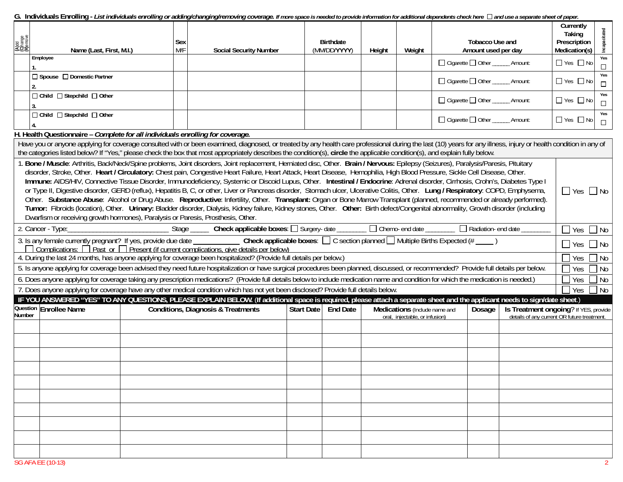G. Individuals Enrolling - *List individuals enrolling or adding/changing/removing coverage. If more space is needed to provide information for additional dependents check here*  $\Box$  *and use a separate sheet of paper.* 

| (A)dd<br>(C)hange<br>(R)emove                                                                                                                                                                                                                                                                                                                                                                                                                                                                                                                                                                                                                                                                                                                                                                                                                                                                                                                                                                                                                                                                                                                                                                                                   | Name (Last, First, M.I.)                                                                                                                                                                                                                                                                                                                                                                         | Sex<br>M/F | <b>Social Security Number</b>                 |  | <b>Birthdate</b><br>(MM/DD/YYYY) | Height | Weight                                                          |                                    | <b>Tobacco Use and</b><br>Amount used per day |                                                                                      | Currently<br>Taking<br>Prescription<br>Medication(s) | Incapacitated |
|---------------------------------------------------------------------------------------------------------------------------------------------------------------------------------------------------------------------------------------------------------------------------------------------------------------------------------------------------------------------------------------------------------------------------------------------------------------------------------------------------------------------------------------------------------------------------------------------------------------------------------------------------------------------------------------------------------------------------------------------------------------------------------------------------------------------------------------------------------------------------------------------------------------------------------------------------------------------------------------------------------------------------------------------------------------------------------------------------------------------------------------------------------------------------------------------------------------------------------|--------------------------------------------------------------------------------------------------------------------------------------------------------------------------------------------------------------------------------------------------------------------------------------------------------------------------------------------------------------------------------------------------|------------|-----------------------------------------------|--|----------------------------------|--------|-----------------------------------------------------------------|------------------------------------|-----------------------------------------------|--------------------------------------------------------------------------------------|------------------------------------------------------|---------------|
|                                                                                                                                                                                                                                                                                                                                                                                                                                                                                                                                                                                                                                                                                                                                                                                                                                                                                                                                                                                                                                                                                                                                                                                                                                 | Employee                                                                                                                                                                                                                                                                                                                                                                                         |            |                                               |  |                                  |        |                                                                 |                                    | □ Cigarette □ Other ______ Amount:            |                                                                                      | $\Box$ Yes $\Box$ No                                 | Yes<br>$\Box$ |
|                                                                                                                                                                                                                                                                                                                                                                                                                                                                                                                                                                                                                                                                                                                                                                                                                                                                                                                                                                                                                                                                                                                                                                                                                                 | □ Spouse □ Domestic Partner                                                                                                                                                                                                                                                                                                                                                                      |            |                                               |  |                                  |        |                                                                 |                                    | □ Cigarette □ Other ______ Amount:            |                                                                                      | $\Box$ Yes $\Box$ No                                 | Yes<br>$\Box$ |
|                                                                                                                                                                                                                                                                                                                                                                                                                                                                                                                                                                                                                                                                                                                                                                                                                                                                                                                                                                                                                                                                                                                                                                                                                                 | □ Child □ Stepchild □ Other                                                                                                                                                                                                                                                                                                                                                                      |            |                                               |  |                                  |        |                                                                 | □ Cigarette □ Other ______ Amount: |                                               | $\Box$ Yes $\Box$ No                                                                 | Yes<br>$\Box$                                        |               |
| □ Child □ Stepchild □ Other                                                                                                                                                                                                                                                                                                                                                                                                                                                                                                                                                                                                                                                                                                                                                                                                                                                                                                                                                                                                                                                                                                                                                                                                     |                                                                                                                                                                                                                                                                                                                                                                                                  |            |                                               |  |                                  |        |                                                                 |                                    | □ Cigarette □ Other ______ Amount:            |                                                                                      | $\Box$ Yes $\Box$ No                                 | Yes<br>$\Box$ |
|                                                                                                                                                                                                                                                                                                                                                                                                                                                                                                                                                                                                                                                                                                                                                                                                                                                                                                                                                                                                                                                                                                                                                                                                                                 | H. Health Questionnaire - Complete for all individuals enrolling for coverage.                                                                                                                                                                                                                                                                                                                   |            |                                               |  |                                  |        |                                                                 |                                    |                                               |                                                                                      |                                                      |               |
|                                                                                                                                                                                                                                                                                                                                                                                                                                                                                                                                                                                                                                                                                                                                                                                                                                                                                                                                                                                                                                                                                                                                                                                                                                 | Have you or anyone applying for coverage consulted with or been examined, diagnosed, or treated by any health care professional during the last (10) years for any illness, injury or health condition in any of<br>the categories listed below? If "Yes," please check the box that most appropriately describes the condition(s), circle the applicable condition(s), and explain fully below. |            |                                               |  |                                  |        |                                                                 |                                    |                                               |                                                                                      |                                                      |               |
| . Bone / Muscle: Arthritis, Back/Neck/Spine problems, Joint disorders, Joint replacement, Herniated disc, Other. Brain / Nervous: Epilepsy (Seizures), Paralysis/Paresis, Pituitary<br>disorder, Stroke, Other. Heart / Circulatory: Chest pain, Congestive Heart Failure, Heart Attack, Heart Disease, Hemophilia, High Blood Pressure, Sickle Cell Disease, Other.<br>Immune: AIDS/HIV, Connective Tissue Disorder, Immunodeficiency, Systemic or Discoid Lupus, Other. Intestinal / Endocrine: Adrenal disorder, Cirrhosis, Crohn's, Diabetes Type I<br>or Type II, Digestive disorder, GERD (reflux), Hepatitis B, C, or other, Liver or Pancreas disorder, Stomach ulcer, Ulcerative Colitis, Other. Lung / Respiratory: COPD, Emphysema,<br>$\Box$ Yes $\Box$ No<br>Other. Substance Abuse: Alcohol or Drug Abuse. Reproductive: Infertility, Other. Transplant: Organ or Bone Marrow Transplant (planned, recommended or already performed).<br>Tumor: Fibroids (location), Other. Urinary: Bladder disorder, Dialysis, Kidney failure, Kidney stones, Other. Other: Birth defect/Congenital abnormality, Growth disorder (including<br>Dwarfism or receiving growth hormones), Paralysis or Paresis, Prosthesis, Other. |                                                                                                                                                                                                                                                                                                                                                                                                  |            |                                               |  |                                  |        |                                                                 |                                    |                                               |                                                                                      |                                                      |               |
|                                                                                                                                                                                                                                                                                                                                                                                                                                                                                                                                                                                                                                                                                                                                                                                                                                                                                                                                                                                                                                                                                                                                                                                                                                 |                                                                                                                                                                                                                                                                                                                                                                                                  |            |                                               |  |                                  |        |                                                                 |                                    |                                               |                                                                                      | $\Box$ Yes                                           | $\Box$ No     |
|                                                                                                                                                                                                                                                                                                                                                                                                                                                                                                                                                                                                                                                                                                                                                                                                                                                                                                                                                                                                                                                                                                                                                                                                                                 |                                                                                                                                                                                                                                                                                                                                                                                                  |            |                                               |  |                                  |        |                                                                 |                                    | $\Box$ Yes                                    | $\Box$ No                                                                            |                                                      |               |
| 4. During the last 24 months, has anyone applying for coverage been hospitalized? (Provide full details per below.)<br>$\exists$ Yes                                                                                                                                                                                                                                                                                                                                                                                                                                                                                                                                                                                                                                                                                                                                                                                                                                                                                                                                                                                                                                                                                            |                                                                                                                                                                                                                                                                                                                                                                                                  |            |                                               |  |                                  |        |                                                                 |                                    |                                               | $\exists$ No                                                                         |                                                      |               |
| 5. Is anyone applying for coverage been advised they need future hospitalization or have surgical procedures been planned, discussed, or recommended? Provide full details per below.<br>$7$ Yes                                                                                                                                                                                                                                                                                                                                                                                                                                                                                                                                                                                                                                                                                                                                                                                                                                                                                                                                                                                                                                |                                                                                                                                                                                                                                                                                                                                                                                                  |            |                                               |  |                                  |        |                                                                 |                                    | $\Box$ No                                     |                                                                                      |                                                      |               |
| 6. Does anyone applying for coverage taking any prescription medications? (Provide full details below to include medication name and condition for which the medication is needed.)<br>Yes                                                                                                                                                                                                                                                                                                                                                                                                                                                                                                                                                                                                                                                                                                                                                                                                                                                                                                                                                                                                                                      |                                                                                                                                                                                                                                                                                                                                                                                                  |            |                                               |  |                                  |        |                                                                 |                                    |                                               | 7 No                                                                                 |                                                      |               |
| 7. Does anyone applying for coverage have any other medical condition which has not yet been disclosed? Provide full details below.<br>Yes<br>IF YOU ANSWERED "YES" TO ANY QUESTIONS, PLEASE EXPLAIN BELOW. (If additional space is required, please attach a separate sheet and the applicant needs to sign/date sheet.)                                                                                                                                                                                                                                                                                                                                                                                                                                                                                                                                                                                                                                                                                                                                                                                                                                                                                                       |                                                                                                                                                                                                                                                                                                                                                                                                  |            |                                               |  |                                  |        |                                                                 |                                    | ∃No                                           |                                                                                      |                                                      |               |
|                                                                                                                                                                                                                                                                                                                                                                                                                                                                                                                                                                                                                                                                                                                                                                                                                                                                                                                                                                                                                                                                                                                                                                                                                                 | Question Enrollee Name                                                                                                                                                                                                                                                                                                                                                                           |            |                                               |  |                                  |        |                                                                 |                                    |                                               |                                                                                      |                                                      |               |
| Number                                                                                                                                                                                                                                                                                                                                                                                                                                                                                                                                                                                                                                                                                                                                                                                                                                                                                                                                                                                                                                                                                                                                                                                                                          |                                                                                                                                                                                                                                                                                                                                                                                                  |            | <b>Conditions, Diagnosis &amp; Treatments</b> |  | Start Date   End Date            |        | Medications (Include name and<br>oral, injectable, or infusion) |                                    | Dosage                                        | Is Treatment ongoing? If YES, provide<br>details of any current OR future treatment. |                                                      |               |
|                                                                                                                                                                                                                                                                                                                                                                                                                                                                                                                                                                                                                                                                                                                                                                                                                                                                                                                                                                                                                                                                                                                                                                                                                                 |                                                                                                                                                                                                                                                                                                                                                                                                  |            |                                               |  |                                  |        |                                                                 |                                    |                                               |                                                                                      |                                                      |               |
|                                                                                                                                                                                                                                                                                                                                                                                                                                                                                                                                                                                                                                                                                                                                                                                                                                                                                                                                                                                                                                                                                                                                                                                                                                 |                                                                                                                                                                                                                                                                                                                                                                                                  |            |                                               |  |                                  |        |                                                                 |                                    |                                               |                                                                                      |                                                      |               |
|                                                                                                                                                                                                                                                                                                                                                                                                                                                                                                                                                                                                                                                                                                                                                                                                                                                                                                                                                                                                                                                                                                                                                                                                                                 |                                                                                                                                                                                                                                                                                                                                                                                                  |            |                                               |  |                                  |        |                                                                 |                                    |                                               |                                                                                      |                                                      |               |
|                                                                                                                                                                                                                                                                                                                                                                                                                                                                                                                                                                                                                                                                                                                                                                                                                                                                                                                                                                                                                                                                                                                                                                                                                                 |                                                                                                                                                                                                                                                                                                                                                                                                  |            |                                               |  |                                  |        |                                                                 |                                    |                                               |                                                                                      |                                                      |               |
|                                                                                                                                                                                                                                                                                                                                                                                                                                                                                                                                                                                                                                                                                                                                                                                                                                                                                                                                                                                                                                                                                                                                                                                                                                 |                                                                                                                                                                                                                                                                                                                                                                                                  |            |                                               |  |                                  |        |                                                                 |                                    |                                               |                                                                                      |                                                      |               |
|                                                                                                                                                                                                                                                                                                                                                                                                                                                                                                                                                                                                                                                                                                                                                                                                                                                                                                                                                                                                                                                                                                                                                                                                                                 |                                                                                                                                                                                                                                                                                                                                                                                                  |            |                                               |  |                                  |        |                                                                 |                                    |                                               |                                                                                      |                                                      |               |
|                                                                                                                                                                                                                                                                                                                                                                                                                                                                                                                                                                                                                                                                                                                                                                                                                                                                                                                                                                                                                                                                                                                                                                                                                                 |                                                                                                                                                                                                                                                                                                                                                                                                  |            |                                               |  |                                  |        |                                                                 |                                    |                                               |                                                                                      |                                                      |               |
|                                                                                                                                                                                                                                                                                                                                                                                                                                                                                                                                                                                                                                                                                                                                                                                                                                                                                                                                                                                                                                                                                                                                                                                                                                 |                                                                                                                                                                                                                                                                                                                                                                                                  |            |                                               |  |                                  |        |                                                                 |                                    |                                               |                                                                                      |                                                      |               |
|                                                                                                                                                                                                                                                                                                                                                                                                                                                                                                                                                                                                                                                                                                                                                                                                                                                                                                                                                                                                                                                                                                                                                                                                                                 |                                                                                                                                                                                                                                                                                                                                                                                                  |            |                                               |  |                                  |        |                                                                 |                                    |                                               |                                                                                      |                                                      |               |
|                                                                                                                                                                                                                                                                                                                                                                                                                                                                                                                                                                                                                                                                                                                                                                                                                                                                                                                                                                                                                                                                                                                                                                                                                                 |                                                                                                                                                                                                                                                                                                                                                                                                  |            |                                               |  |                                  |        |                                                                 |                                    |                                               |                                                                                      |                                                      |               |